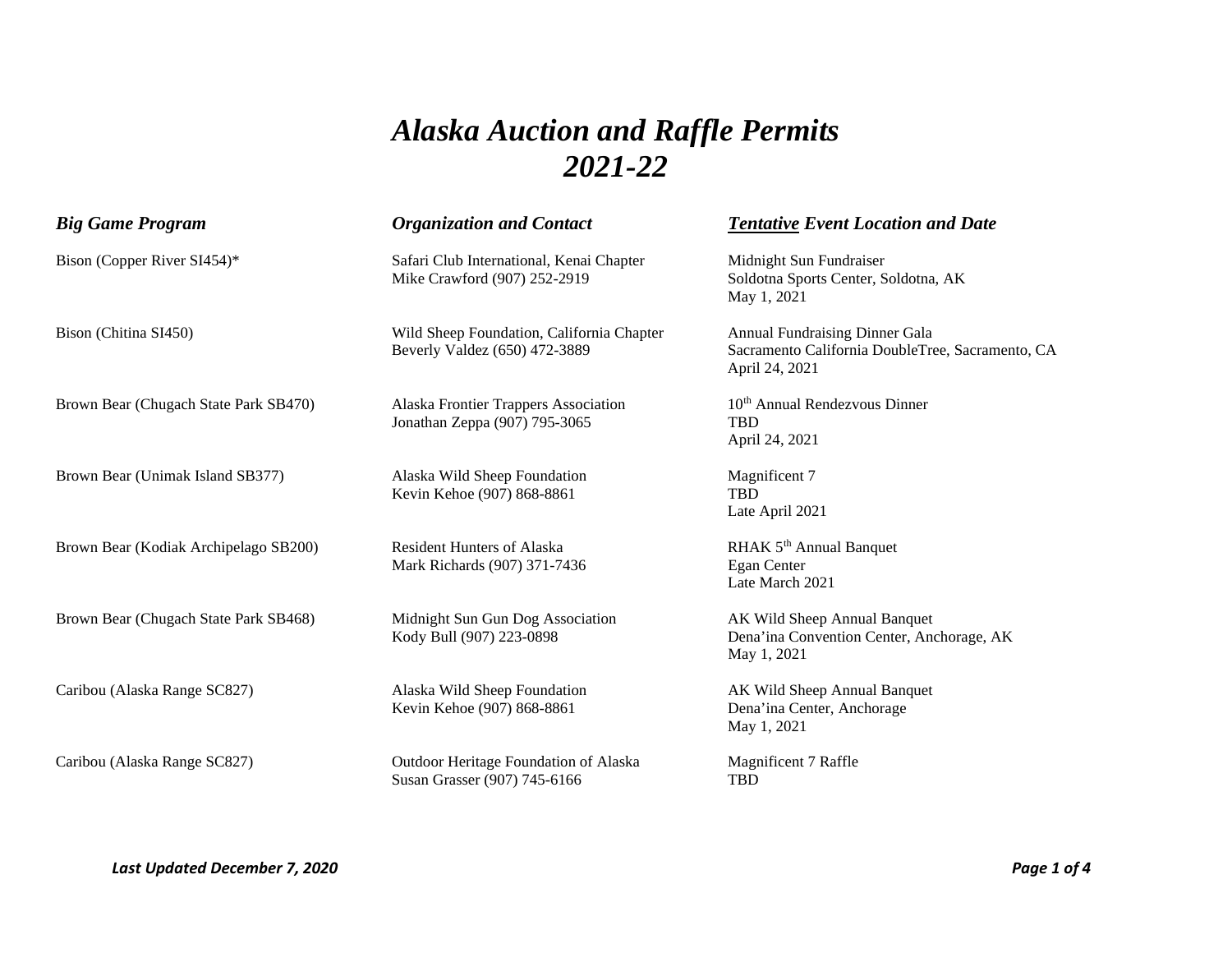## *Alaska Auction and Raffle Permits 2021-22*

| <b>Big Game Program</b>               | <b>Organization and Contact</b>                                            | <b>Tentative Event Location and Date</b>                                                             |
|---------------------------------------|----------------------------------------------------------------------------|------------------------------------------------------------------------------------------------------|
| Bison (Copper River SI454)*           | Safari Club International, Kenai Chapter<br>Mike Crawford (907) 252-2919   | Midnight Sun Fundraiser<br>Soldotna Sports Center, Soldotna, AK<br>May 1, 2021                       |
| Bison (Chitina SI450)                 | Wild Sheep Foundation, California Chapter<br>Beverly Valdez (650) 472-3889 | Annual Fundraising Dinner Gala<br>Sacramento California DoubleTree, Sacramento, CA<br>April 24, 2021 |
| Brown Bear (Chugach State Park SB470) | Alaska Frontier Trappers Association<br>Jonathan Zeppa (907) 795-3065      | 10 <sup>th</sup> Annual Rendezvous Dinner<br><b>TBD</b><br>April 24, 2021                            |
| Brown Bear (Unimak Island SB377)      | Alaska Wild Sheep Foundation<br>Kevin Kehoe (907) 868-8861                 | Magnificent 7<br><b>TBD</b><br>Late April 2021                                                       |
| Brown Bear (Kodiak Archipelago SB200) | <b>Resident Hunters of Alaska</b><br>Mark Richards (907) 371-7436          | RHAK 5 <sup>th</sup> Annual Banquet<br>Egan Center<br>Late March 2021                                |
| Brown Bear (Chugach State Park SB468) | Midnight Sun Gun Dog Association<br>Kody Bull (907) 223-0898               | AK Wild Sheep Annual Banquet<br>Dena'ina Convention Center, Anchorage, AK<br>May 1, 2021             |
| Caribou (Alaska Range SC827)          | Alaska Wild Sheep Foundation<br>Kevin Kehoe (907) 868-8861                 | AK Wild Sheep Annual Banquet<br>Dena'ina Center, Anchorage<br>May 1, 2021                            |
| Caribou (Alaska Range SC827)          | Outdoor Heritage Foundation of Alaska<br>Susan Grasser (907) 745-6166      | Magnificent 7 Raffle<br><b>TBD</b>                                                                   |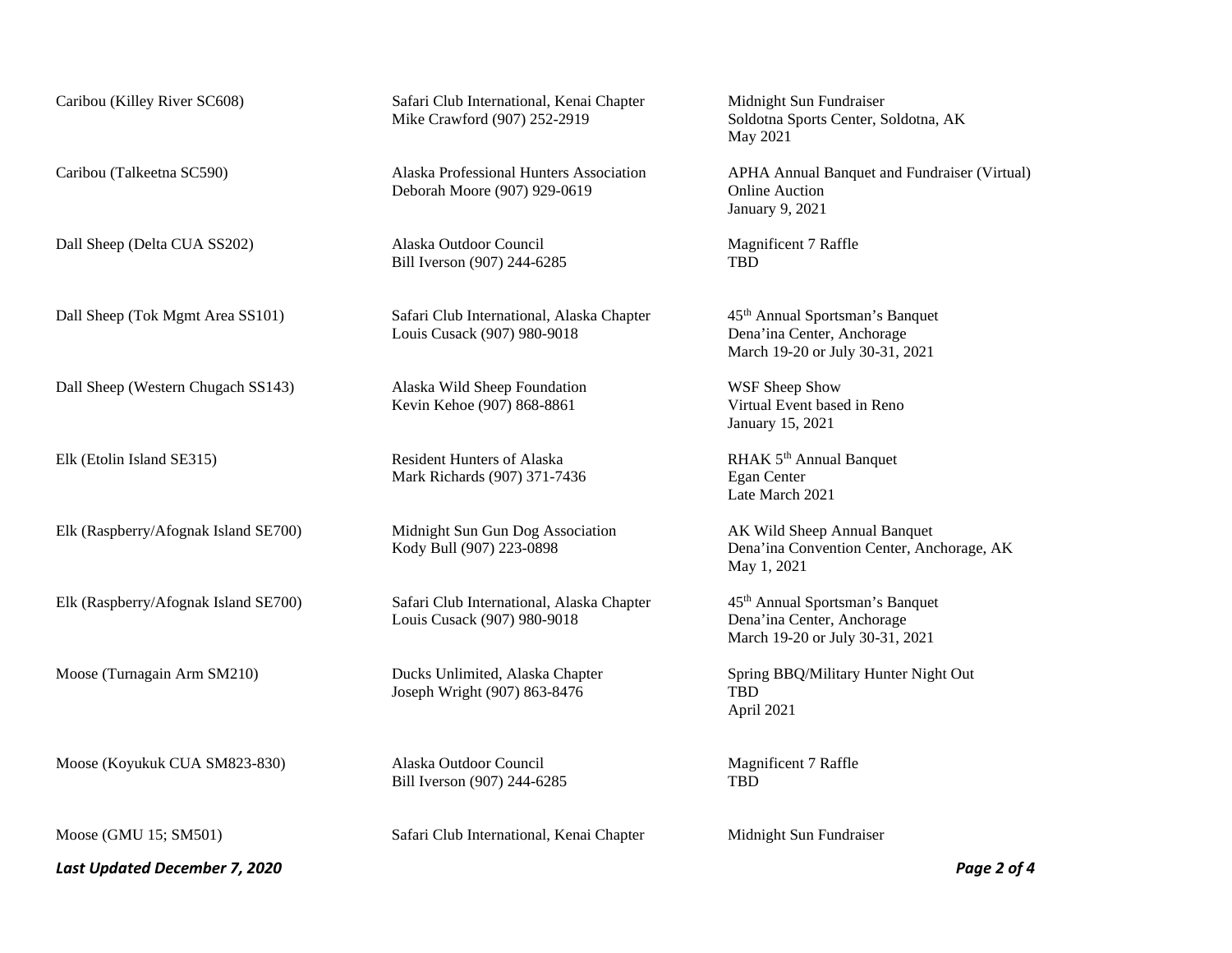Dall Sheep (Delta CUA SS202) Alaska Outdoor Council Magnificent 7 Raffle

Dall Sheep (Western Chugach SS143) Alaska Wild Sheep Foundation WSF Sheep Show

Moose (Koyukuk CUA SM823-830) Alaska Outdoor Council Magnificent 7 Raffle

*Last Updated December 7, 2020 Page 2 of 4* 

Caribou (Killey River SC608) Safari Club International, Kenai Chapter Midnight Sun Fundraiser<br>Mike Crawford (907) 252-2919 Soldotna Sports Center, S

Deborah Moore (907) 929-0619 Online Auction

Bill Iverson (907) 244-6285 TBD

Dall Sheep (Tok Mgmt Area SS101) Safari Club International, Alaska Chapter 45<sup>th</sup> Annual Sportsman's Banquet<br>Louis Cusack (907) 980-9018 Dena'ina Center, Anchorage Louis Cusack (907) 980-9018

Kevin Kehoe (907) 868-8861 Virtual Event based in Reno

Elk (Etolin Island SE315) Resident Hunters of Alaska RHAK 5<sup>th</sup> Annual Banquet<br>Mark Richards (907) 371-7436 Egan Center Mark Richards (907) 371-7436

Elk (Raspberry/Afognak Island SE700) Midnight Sun Gun Dog Association AK Wild Sheep Annual Banquet<br>Kody Bull (907) 223-0898 Dena'ina Convention Center, And

Elk (Raspberry/Afognak Island SE700) Safari Club International, Alaska Chapter 45<sup>th</sup> Annual Sportsman's Banquet<br>Louis Cusack (907) 980-9018 Dena'ina Center, Anchorage Louis Cusack (907) 980-9018

Joseph Wright (907) 863-8476 TBD

Bill Iverson (907) 244-6285 TBD

Moose (GMU 15; SM501) Safari Club International, Kenai Chapter Midnight Sun Fundraiser

Soldotna Sports Center, Soldotna, AK May 2021

Caribou (Talkeetna SC590) Alaska Professional Hunters Association APHA Annual Banquet and Fundraiser (Virtual) January 9, 2021

March 19-20 or July 30-31, 2021

January 15, 2021

Late March 2021

Dena'ina Convention Center, Anchorage, AK May 1, 2021

March 19-20 or July 30-31, 2021

Moose (Turnagain Arm SM210) Ducks Unlimited, Alaska Chapter Spring BBQ/Military Hunter Night Out April 2021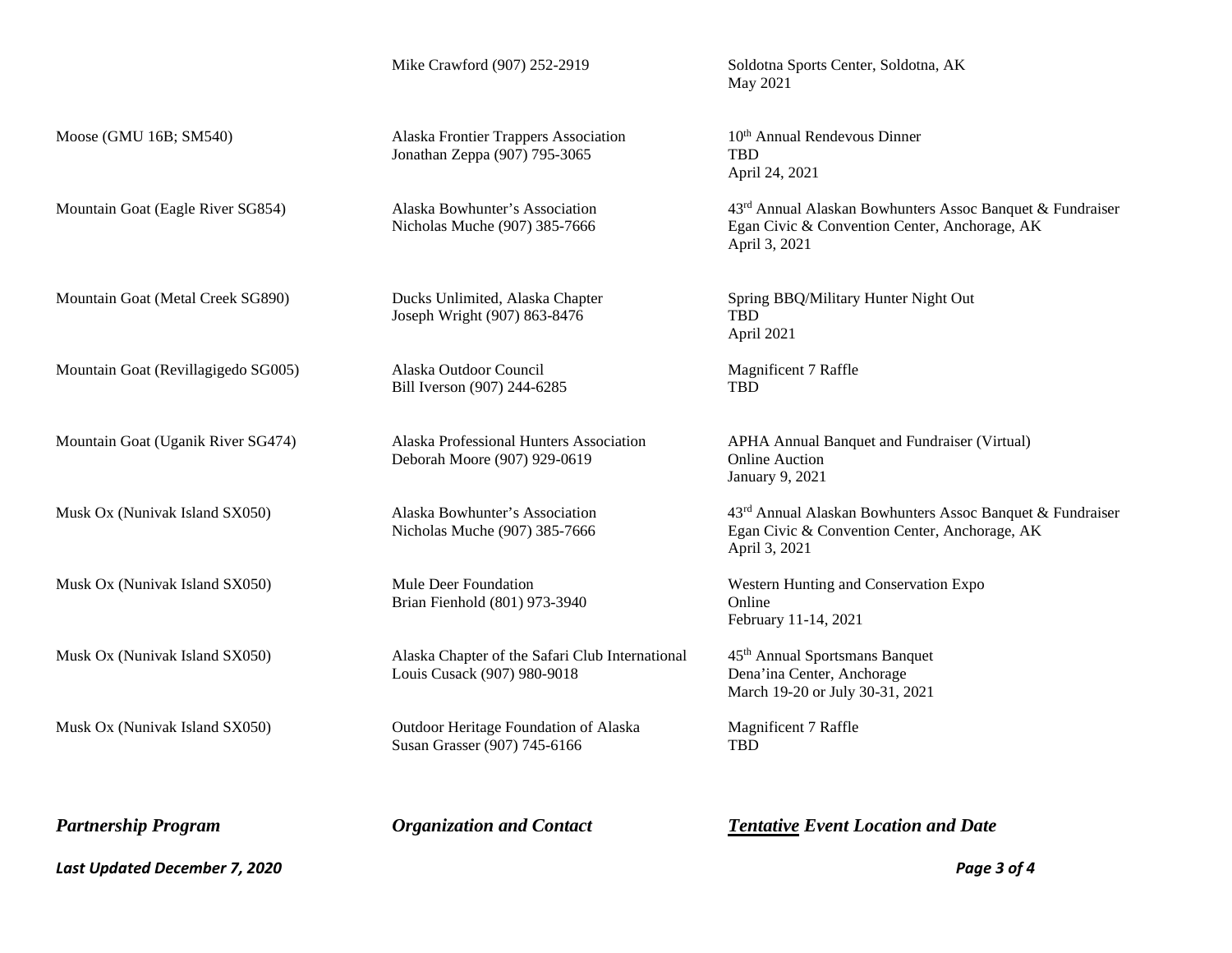Moose (GMU 16B; SM540) Alaska Frontier Trappers Association 10<sup>th</sup> Annual Rendevous Dinner Jonathan Zeppa (907) 795-3065 TBD

Joseph Wright (907) 863-8476 TBD

Mountain Goat (Revillagigedo SG005) Alaska Outdoor Council Magnificent 7 Raffle<br>
Bill Iverson (907) 244-6285 TRD Bill Iverson (907) 244-6285

Deborah Moore (907) 929-0619 Online Auction

Brian Fienhold (801) 973-3940 Online

Musk Ox (Nunivak Island SX050) Alaska Chapter of the Safari Club International 45<sup>th</sup> Annual Sportsmans Banquet<br>Louis Cusack (907) 980-9018 Dena'ina Center, Anchorage Louis Cusack (907) 980-9018

Musk Ox (Nunivak Island SX050) Outdoor Heritage Foundation of Alaska Magnificent 7 Raffle Susan Grasser (907) 745-6166 TBD

Mike Crawford (907) 252-2919 Soldotna Sports Center, Soldotna, AK May 2021

April 24, 2021

Mountain Goat (Eagle River SG854) Alaska Bowhunter's Association 43<sup>rd</sup> Annual Alaskan Bowhunters Assoc Banquet & Fundraiser Nicholas Muche (907) 385-7666 Egan Civic & Convention Center, Anchorage, AK April 3, 2021

Mountain Goat (Metal Creek SG890) Ducks Unlimited, Alaska Chapter Spring BBQ/Military Hunter Night Out April 2021

Mountain Goat (Uganik River SG474) Alaska Professional Hunters Association APHA Annual Banquet and Fundraiser (Virtual) January 9, 2021

Musk Ox (Nunivak Island SX050) Alaska Bowhunter's Association 43<sup>rd</sup> Annual Alaskan Bowhunters Assoc Banquet & Fundraiser Nicholas Muche (907) 385-7666 Egan Civic & Convention Center, Anchorage, AK April 3, 2021

Musk Ox (Nunivak Island SX050) Mule Deer Foundation Western Hunting and Conservation Expo February 11-14, 2021

March 19-20 or July 30-31, 2021

*Partnership Program Organization and Contact Tentative Event Location and Date* 

*Last Updated December 7, 2020 Page 3 of 4*